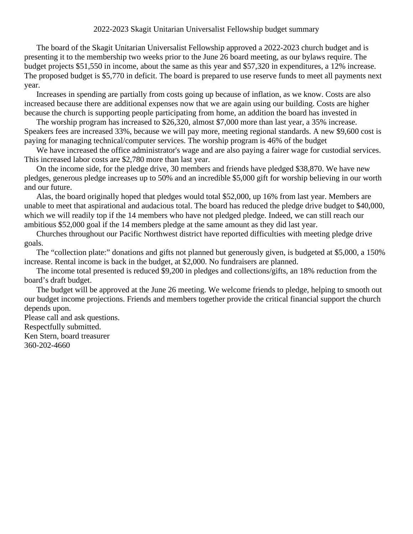The board of the Skagit Unitarian Universalist Fellowship approved a 2022-2023 church budget and is presenting it to the membership two weeks prior to the June 26 board meeting, as our bylaws require. The budget projects \$51,550 in income, about the same as this year and \$57,320 in expenditures, a 12% increase. The proposed budget is \$5,770 in deficit. The board is prepared to use reserve funds to meet all payments next year.

Increases in spending are partially from costs going up because of inflation, as we know. Costs are also increased because there are additional expenses now that we are again using our building. Costs are higher because the church is supporting people participating from home, an addition the board has invested in

The worship program has increased to \$26,320, almost \$7,000 more than last year, a 35% increase. Speakers fees are increased 33%, because we will pay more, meeting regional standards. A new \$9,600 cost is paying for managing technical/computer services. The worship program is 46% of the budget

We have increased the office administrator's wage and are also paying a fairer wage for custodial services. This increased labor costs are \$2,780 more than last year.

On the income side, for the pledge drive, 30 members and friends have pledged \$38,870. We have new pledges, generous pledge increases up to 50% and an incredible \$5,000 gift for worship believing in our worth and our future.

Alas, the board originally hoped that pledges would total \$52,000, up 16% from last year. Members are unable to meet that aspirational and audacious total. The board has reduced the pledge drive budget to \$40,000, which we will readily top if the 14 members who have not pledged pledge. Indeed, we can still reach our ambitious \$52,000 goal if the 14 members pledge at the same amount as they did last year.

Churches throughout our Pacific Northwest district have reported difficulties with meeting pledge drive goals.

The "collection plate:" donations and gifts not planned but generously given, is budgeted at \$5,000, a 150% increase. Rental income is back in the budget, at \$2,000. No fundraisers are planned.

The income total presented is reduced \$9,200 in pledges and collections/gifts, an 18% reduction from the board's draft budget.

The budget will be approved at the June 26 meeting. We welcome friends to pledge, helping to smooth out our budget income projections. Friends and members together provide the critical financial support the church depends upon.

Please call and ask questions.

Respectfully submitted.

Ken Stern, board treasurer 360-202-4660